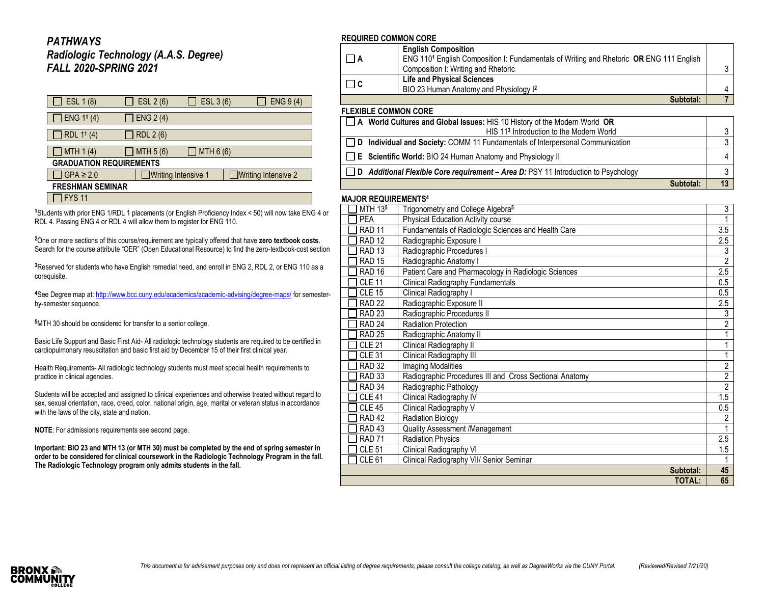### *PATHWAYS Radiologic Technology (A.A.S. Degree) FALL 2020-SPRING 2021*

| ESL 1 (8)                      | ESL 2 (6)                  | ESL 3 (6)   | ENG 9(4)                   |  |  |
|--------------------------------|----------------------------|-------------|----------------------------|--|--|
| $\Box$ ENG 1 <sup>1</sup> (4)  | $\exists$ ENG 2 (4)        |             |                            |  |  |
| RDL 11 (4)                     | RDL 2 (6)                  |             |                            |  |  |
| MTH $1(4)$                     | MTH 5 (6)                  | ] MTH 6 (6) |                            |  |  |
| <b>GRADUATION REQUIREMENTS</b> |                            |             |                            |  |  |
| $\Box$ GPA $\geq$ 2.0          | $\Box$ Writing Intensive 1 |             | $\Box$ Writing Intensive 2 |  |  |
| <b>FRESHMAN SEMINAR</b>        |                            |             |                            |  |  |
| $\blacksquare$                 |                            |             |                            |  |  |

 $\Box$  FYS 11

**<sup>1</sup>**Students with prior ENG 1/RDL 1 placements (or English Proficiency Index < 50) will now take ENG 4 or RDL 4. Passing ENG 4 or RDL 4 will allow them to register for ENG 110.

**<sup>2</sup>**One or more sections of this course/requirement are typically offered that have **zero textbook costs**. Search for the course attribute "OER" (Open Educational Resource) to find the zero-textbook-cost section

**<sup>3</sup>**Reserved for students who have English remedial need, and enroll in ENG 2, RDL 2, or ENG 110 as a corequisite.

**<sup>4</sup>**See Degree map at[: http://www.bcc.cuny.edu/academics/academic-advising/degree-maps/](http://www.bcc.cuny.edu/academics/academic-advising/degree-maps/) for semesterby-semester sequence.

**<sup>5</sup>**MTH 30 should be considered for transfer to a senior college.

Basic Life Support and Basic First Aid- All radiologic technology students are required to be certified in cardiopulmonary resuscitation and basic first aid by December 15 of their first clinical year.

Health Requirements- All radiologic technology students must meet special health requirements to practice in clinical agencies.

Students will be accepted and assigned to clinical experiences and otherwise treated without regard to sex, sexual orientation, race, creed, color, national origin, age, marital or veteran status in accordance with the laws of the city, state and nation.

**NOTE**: For admissions requirements see second page.

**Important: BIO 23 and MTH 13 (or MTH 30) must be completed by the end of spring semester in order to be considered for clinical coursework in the Radiologic Technology Program in the fall. The Radiologic Technology program only admits students in the fall.**

#### **REQUIRED COMMON CORE**

| I IA                   | <b>English Composition</b><br>ENG 110 <sup>1</sup> English Composition I: Fundamentals of Writing and Rhetoric OR ENG 111 English<br>Composition I: Writing and Rhetoric |  |  |
|------------------------|--------------------------------------------------------------------------------------------------------------------------------------------------------------------------|--|--|
| $\Box$ C               | <b>Life and Physical Sciences</b><br>BIO 23 Human Anatomy and Physiology I <sup>2</sup>                                                                                  |  |  |
|                        | Subtotal:                                                                                                                                                                |  |  |
| '' FVIDI E AAMMAN AADE |                                                                                                                                                                          |  |  |

### **FLEXIBLE COMMON CORE**

| □ A World Cultures and Global Issues: HIS 10 History of the Modern World OR               |  |
|-------------------------------------------------------------------------------------------|--|
| HIS 11 <sup>3</sup> Introduction to the Modern World                                      |  |
| D Individual and Society: COMM 11 Fundamentals of Interpersonal Communication             |  |
| $\Box$ <b>E</b> Scientific World: BIO 24 Human Anatomy and Physiology II                  |  |
| $\Box$ D Additional Flexible Core requirement – Area D: PSY 11 Introduction to Psychology |  |
| Subtotal:                                                                                 |  |

#### **MAJOR REQUIREMENTS<sup>4</sup>**

| MTH 135           | Trigonometry and College Algebra <sup>5</sup>           |                  |
|-------------------|---------------------------------------------------------|------------------|
| <b>PEA</b>        | Physical Education Activity course                      |                  |
| <b>RAD 11</b>     | Fundamentals of Radiologic Sciences and Health Care     | $\overline{3.5}$ |
| <b>RAD 12</b>     | Radiographic Exposure I                                 |                  |
| <b>RAD 13</b>     | Radiographic Procedures I                               | 3                |
| <b>RAD 15</b>     | Radiographic Anatomy I                                  | $\overline{2}$   |
| RAD <sub>16</sub> | Patient Care and Pharmacology in Radiologic Sciences    | 2.5              |
| <b>CLE 11</b>     | <b>Clinical Radiography Fundamentals</b>                | 0.5              |
| <b>CLE 15</b>     | Clinical Radiography I                                  | 0.5              |
| <b>RAD 22</b>     | Radiographic Exposure II                                | 2.5              |
| <b>RAD 23</b>     | Radiographic Procedures II                              | 3                |
| RAD <sub>24</sub> | <b>Radiation Protection</b>                             | $\overline{2}$   |
| <b>RAD 25</b>     | Radiographic Anatomy II                                 | 1                |
| <b>CLE 21</b>     | Clinical Radiography II                                 | 1                |
| CLE <sub>31</sub> | Clinical Radiography III                                | 1                |
| <b>RAD 32</b>     | <b>Imaging Modalities</b>                               | $\overline{2}$   |
| RAD <sub>33</sub> | Radiographic Procedures III and Cross Sectional Anatomy | $\overline{2}$   |
| RAD <sub>34</sub> | Radiographic Pathology                                  | $\overline{2}$   |
| CLE <sub>41</sub> | Clinical Radiography IV                                 | $\overline{1.5}$ |
| <b>CLE 45</b>     | Clinical Radiography V                                  | 0.5              |
| <b>RAD 42</b>     | Radiation Biology                                       | 2                |
| RAD <sub>43</sub> | Quality Assessment /Management                          |                  |
| <b>RAD 71</b>     | <b>Radiation Physics</b>                                | 2.5              |
| <b>CLE 51</b>     | Clinical Radiography VI                                 | 1.5              |
| CLE <sub>61</sub> | Clinical Radiography VII/ Senior Seminar                |                  |
|                   | Subtotal:                                               | 45               |
|                   | TOTAL:                                                  | 65               |